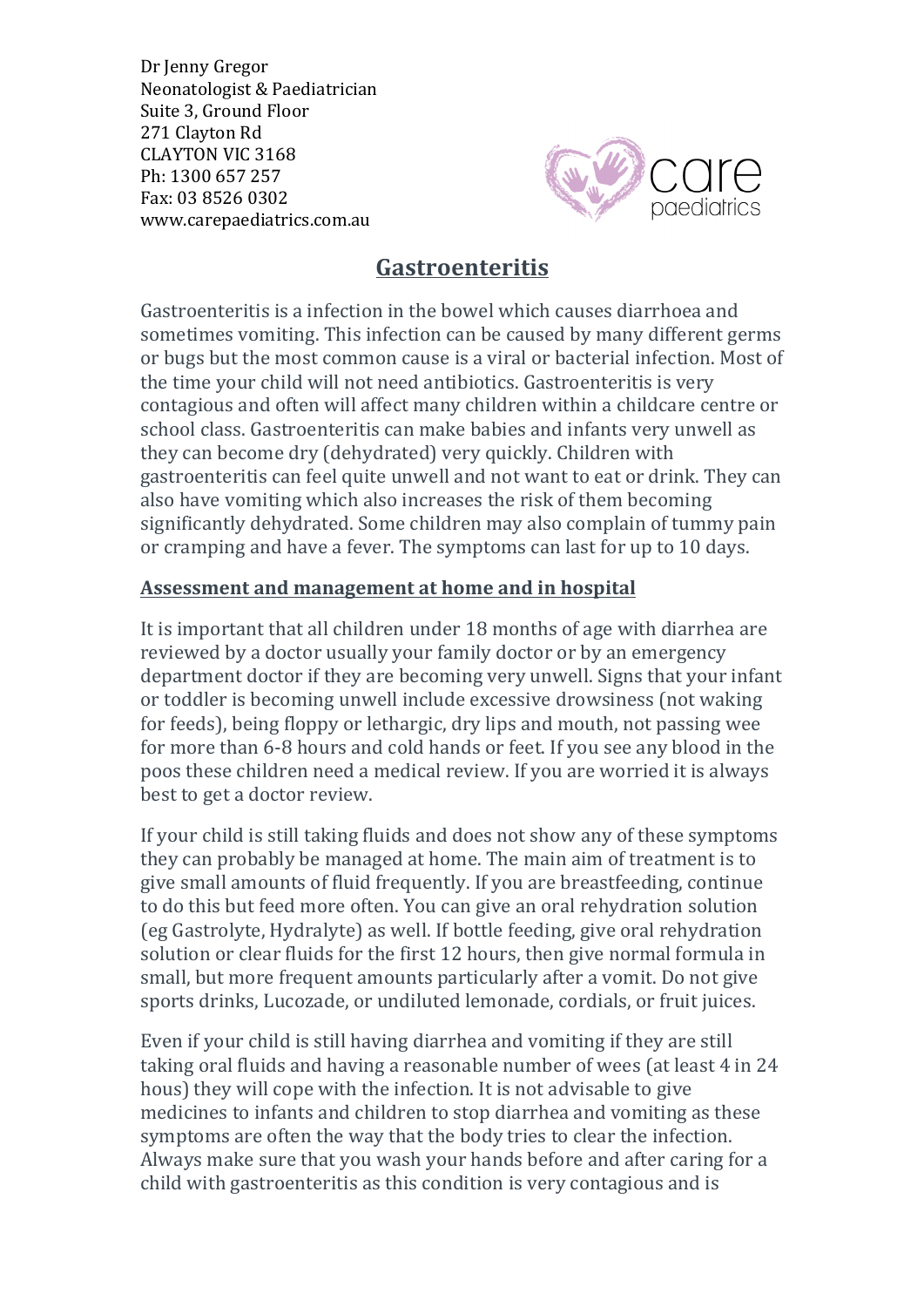Dr Jenny Gregor Neonatologist & Paediatrician Suite 3, Ground Floor 271 Clayton Rd CLAYTON VIC 3168 Ph: 1300 657 257 Fax: 03 8526 0302 www.carepaediatrics.com.au



## **Gastroenteritis**

Gastroenteritis is a infection in the bowel which causes diarrhoea and sometimes vomiting. This infection can be caused by many different germs or bugs but the most common cause is a viral or bacterial infection. Most of the time your child will not need antibiotics. Gastroenteritis is very contagious and often will affect many children within a childcare centre or school class. Gastroenteritis can make babies and infants very unwell as they can become dry (dehydrated) very quickly. Children with gastroenteritis can feel quite unwell and not want to eat or drink. They can also have vomiting which also increases the risk of them becoming significantly dehydrated. Some children may also complain of tummy pain or cramping and have a fever. The symptoms can last for up to 10 days.

## Assessment and management at home and in hospital

It is important that all children under 18 months of age with diarrhea are reviewed by a doctor usually your family doctor or by an emergency department doctor if they are becoming very unwell. Signs that your infant or toddler is becoming unwell include excessive drowsiness (not waking for feeds), being floppy or lethargic, dry lips and mouth, not passing wee for more than 6-8 hours and cold hands or feet. If you see any blood in the poos these children need a medical review. If you are worried it is always best to get a doctor review.

If your child is still taking fluids and does not show any of these symptoms they can probably be managed at home. The main aim of treatment is to give small amounts of fluid frequently. If you are breastfeeding, continue to do this but feed more often. You can give an oral rehydration solution (eg Gastrolyte, Hydralyte) as well. If bottle feeding, give oral rehydration solution or clear fluids for the first 12 hours, then give normal formula in small, but more frequent amounts particularly after a vomit. Do not give sports drinks, Lucozade, or undiluted lemonade, cordials, or fruit juices.

Even if your child is still having diarrhea and vomiting if they are still taking oral fluids and having a reasonable number of wees (at least 4 in 24 hous) they will cope with the infection. It is not advisable to give medicines to infants and children to stop diarrhea and vomiting as these symptoms are often the way that the body tries to clear the infection. Always make sure that you wash your hands before and after caring for a child with gastroenteritis as this condition is very contagious and is